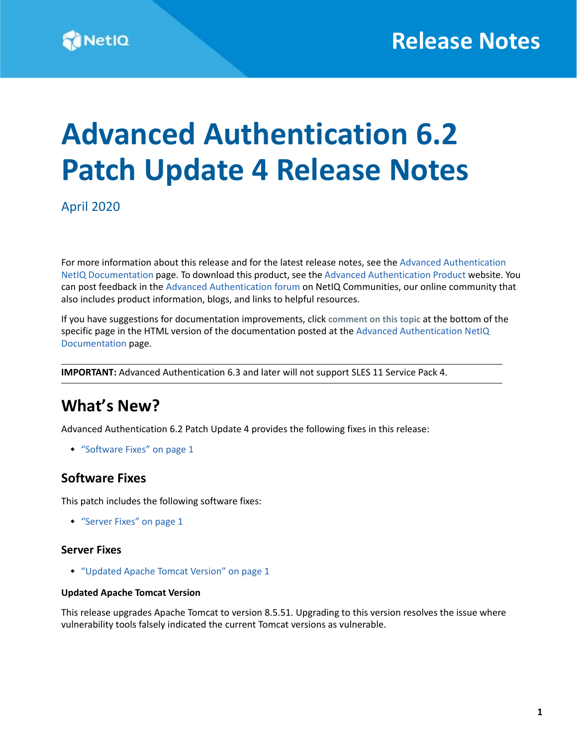# **Advanced Authentication 6.2 Patch Update 4 Release Notes**

April 2020

For more information about this release and for the latest release notes, see the [Advanced Authentication](https://www.netiq.com/documentation/advanced-authentication-62/)  [NetIQ Documentation](https://www.netiq.com/documentation/advanced-authentication-62/) page. To download this product, see the [Advanced Authentication Product](https://www.netiq.com/products/advanced-authentication-framework/) website. You can post feedback in the [Advanced Authentication forum](https://forums.novell.com/forumdisplay.php/1374-Advanced-Authentication) on NetIQ Communities, our online community that also includes product information, blogs, and links to helpful resources.

If you have suggestions for documentation improvements, click **comment on this topic** at the bottom of the specific page in the HTML version of the documentation posted at the [Advanced Authentication NetIQ](https://www.netiq.com/documentation/advanced-authentication-62/)  [Documentation](https://www.netiq.com/documentation/advanced-authentication-62/) page.

**IMPORTANT:** Advanced Authentication 6.3 and later will not support SLES 11 Service Pack 4.

### **What's New?**

Advanced Authentication 6.2 Patch Update 4 provides the following fixes in this release:

["Software Fixes" on page 1](#page-0-1)

### <span id="page-0-1"></span>**Software Fixes**

This patch includes the following software fixes:

["Server Fixes" on page 1](#page-0-0)

#### <span id="page-0-0"></span>**Server Fixes**

["Updated Apache Tomcat Version" on page 1](#page-0-2)

#### <span id="page-0-2"></span>**Updated Apache Tomcat Version**

This release upgrades Apache Tomcat to version 8.5.51. Upgrading to this version resolves the issue where vulnerability tools falsely indicated the current Tomcat versions as vulnerable.